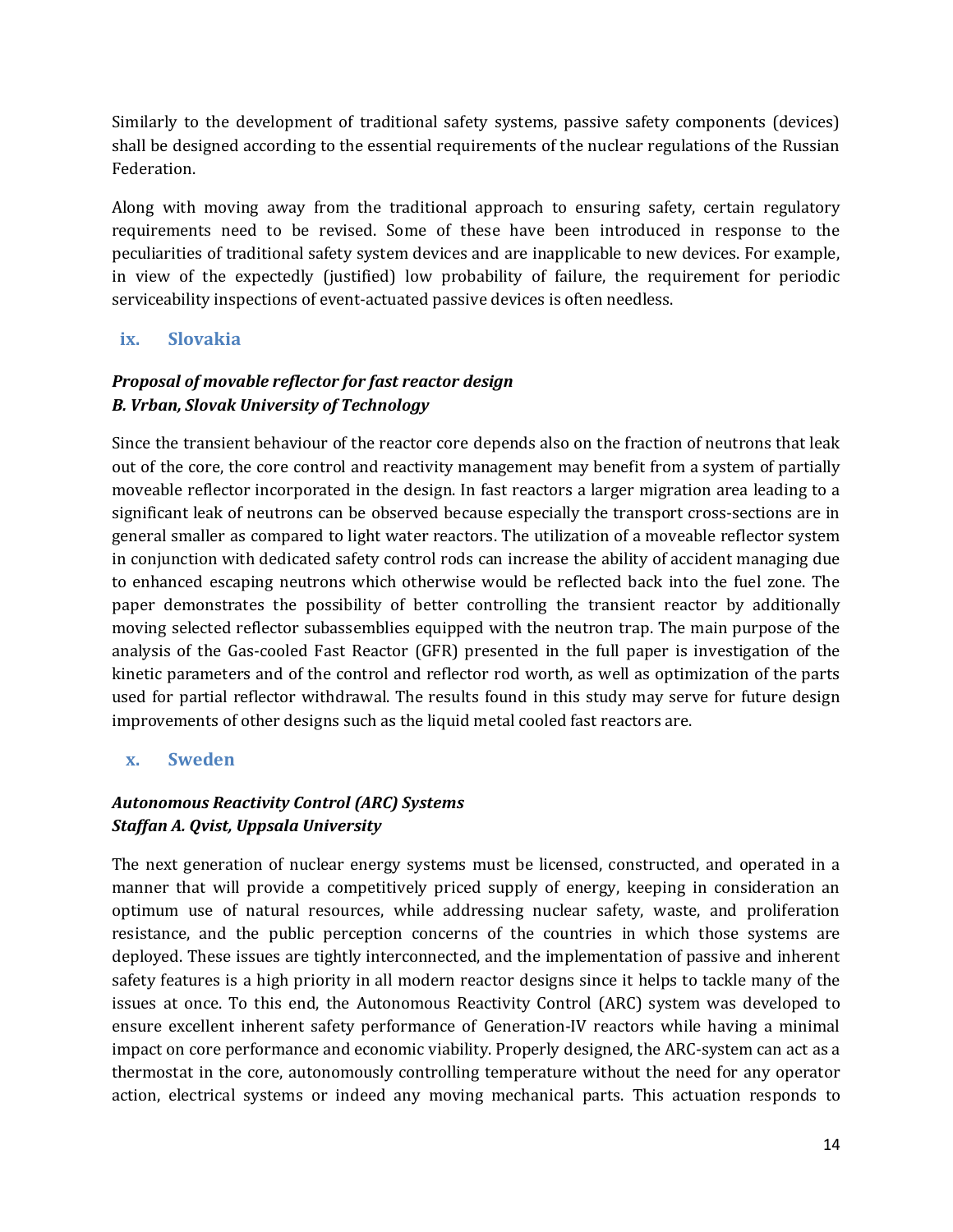Similarly to the development of traditional safety systems, passive safety components (devices) shall be designed according to the essential requirements of the nuclear regulations of the Russian Federation.

Along with moving away from the traditional approach to ensuring safety, certain regulatory requirements need to be revised. Some of these have been introduced in response to the peculiarities of traditional safety system devices and are inapplicable to new devices. For example, in view of the expectedly (justified) low probability of failure, the requirement for periodic serviceability inspections of event-actuated passive devices is often needless.

#### **ix. Slovakia**

# *Proposal of movable reflector for fast reactor design B. Vrban, Slovak University of Technology*

Since the transient behaviour of the reactor core depends also on the fraction of neutrons that leak out of the core, the core control and reactivity management may benefit from a system of partially moveable reflector incorporated in the design. In fast reactors a larger migration area leading to a significant leak of neutrons can be observed because especially the transport cross-sections are in general smaller as compared to light water reactors. The utilization of a moveable reflector system in conjunction with dedicated safety control rods can increase the ability of accident managing due to enhanced escaping neutrons which otherwise would be reflected back into the fuel zone. The paper demonstrates the possibility of better controlling the transient reactor by additionally moving selected reflector subassemblies equipped with the neutron trap. The main purpose of the analysis of the Gas-cooled Fast Reactor (GFR) presented in the full paper is investigation of the kinetic parameters and of the control and reflector rod worth, as well as optimization of the parts used for partial reflector withdrawal. The results found in this study may serve for future design improvements of other designs such as the liquid metal cooled fast reactors are.

#### **x. Sweden**

## *Autonomous Reactivity Control (ARC) Systems Staffan A. Qvist, Uppsala University*

The next generation of nuclear energy systems must be licensed, constructed, and operated in a manner that will provide a competitively priced supply of energy, keeping in consideration an optimum use of natural resources, while addressing nuclear safety, waste, and proliferation resistance, and the public perception concerns of the countries in which those systems are deployed. These issues are tightly interconnected, and the implementation of passive and inherent safety features is a high priority in all modern reactor designs since it helps to tackle many of the issues at once. To this end, the Autonomous Reactivity Control (ARC) system was developed to ensure excellent inherent safety performance of Generation-IV reactors while having a minimal impact on core performance and economic viability. Properly designed, the ARC-system can act as a thermostat in the core, autonomously controlling temperature without the need for any operator action, electrical systems or indeed any moving mechanical parts. This actuation responds to